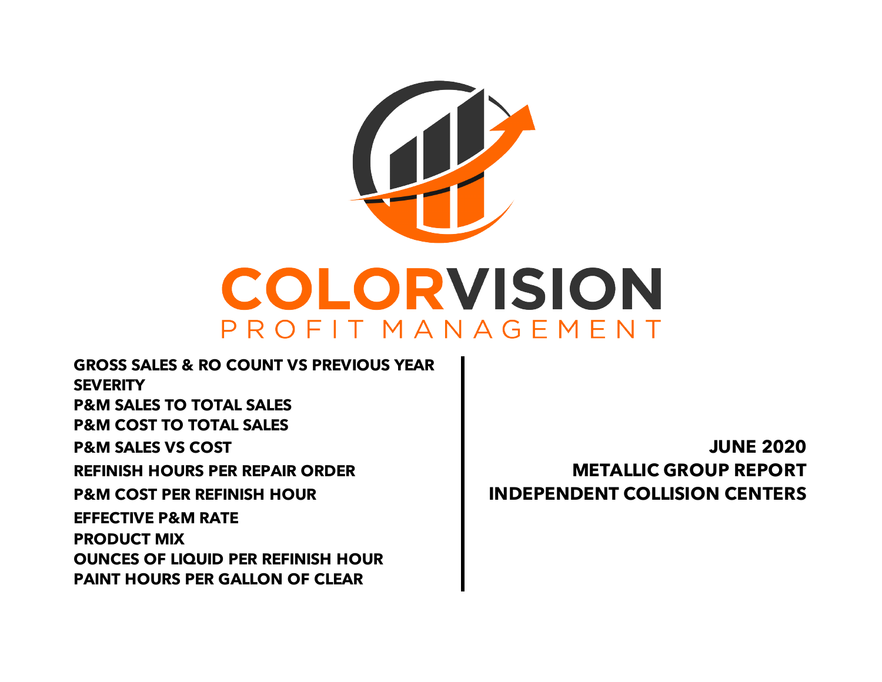

**PAINT HOURS PER GALLON OF CLEAR EFFECTIVE P&M RATE PRODUCT MIX OUNCES OF LIQUID PER REFINISH HOUR REFINISH HOURS PER REPAIR ORDER METALLIC GROUP REPORT P&M COST PER REFINISH HOUR INDEPENDENT COLLISION CENTERS GROSS SALES & RO COUNT VS PREVIOUS YEAR SEVERITY P&M SALES TO TOTAL SALES P&M COST TO TOTAL SALES P&M SALES VS COST JUNE 2020**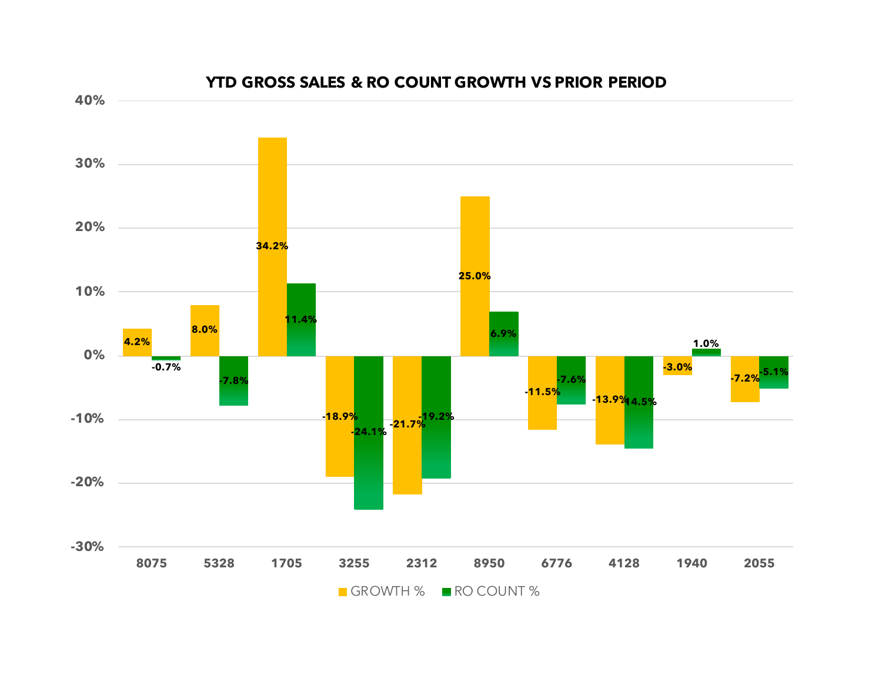

#### **YTD GROSS SALES & RO COUNT GROWTH VS PRIOR PERIOD**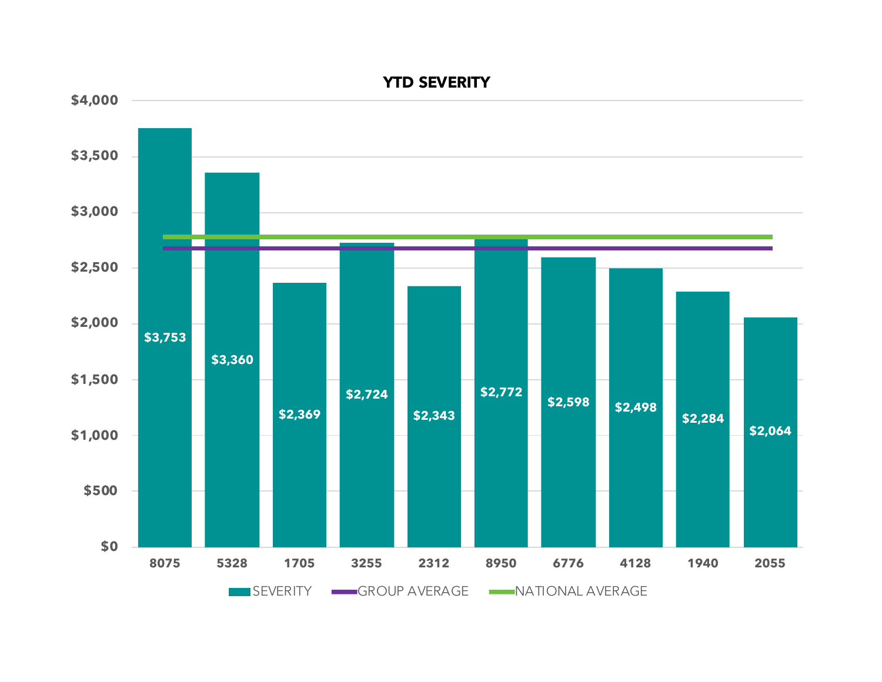

**YTD SEVERITY**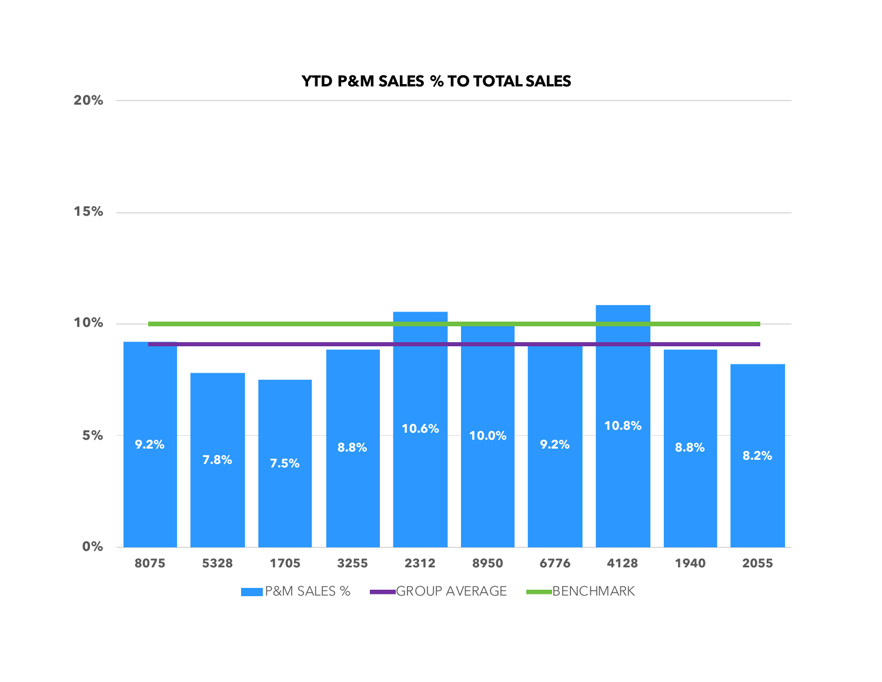# **9.2% 7.8% 7.5% 8.8%**  $10.6\%$  **10.0% 9.2% 10.8% 8.8% 8.2% 0% 5% 10% 15% 20% 8075 5328 1705 3255 2312 8950 6776 4128 1940 2055**

**P&M SALES % GROUP AVERAGE BENCHMARK** 

**YTD P&M SALES % TO TOTAL SALES**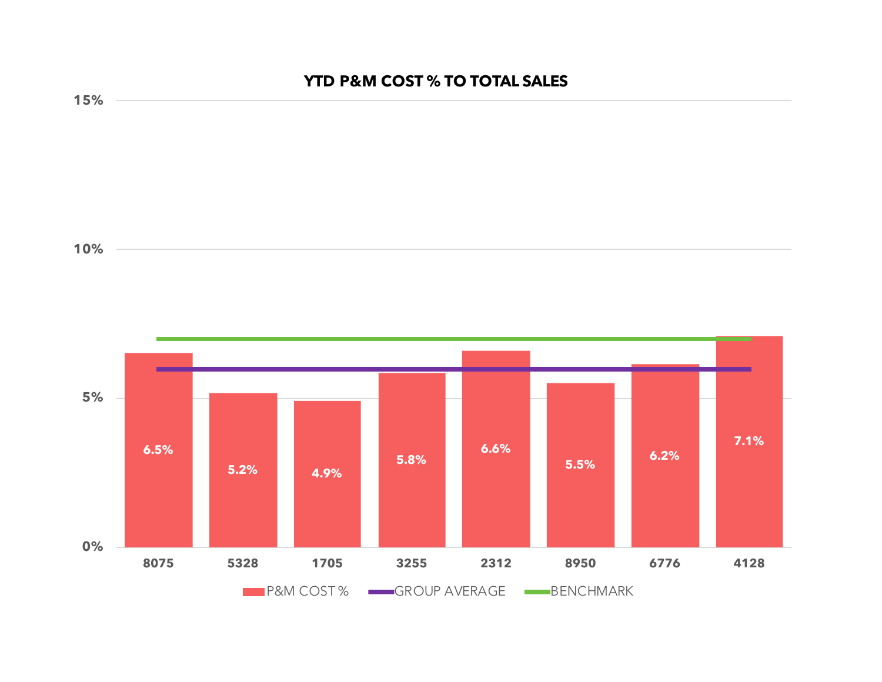## **YTD P&M COST % TO TOTAL SALES**



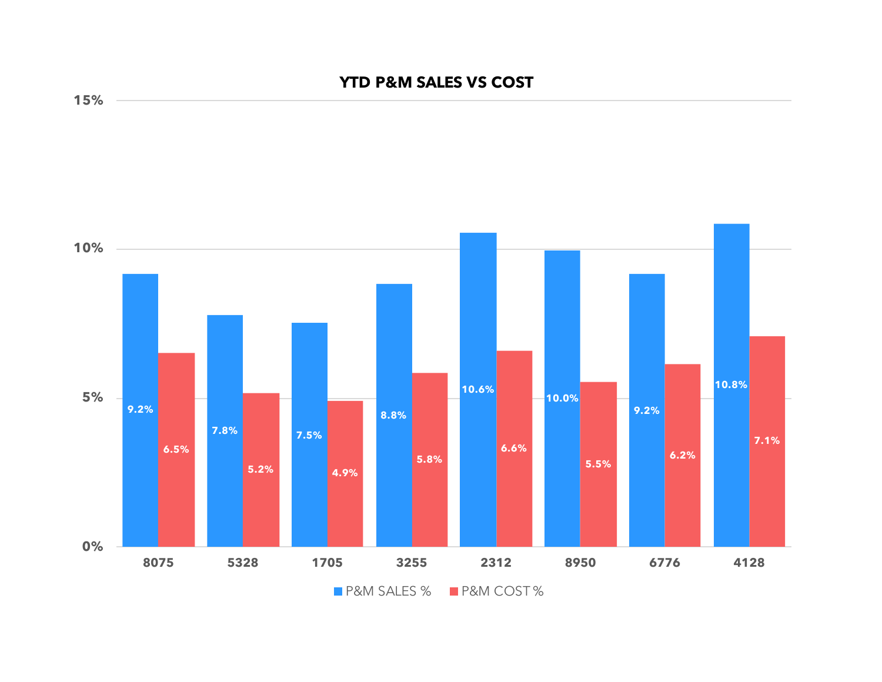### **YTD P&M SALES VS COST**



**15%**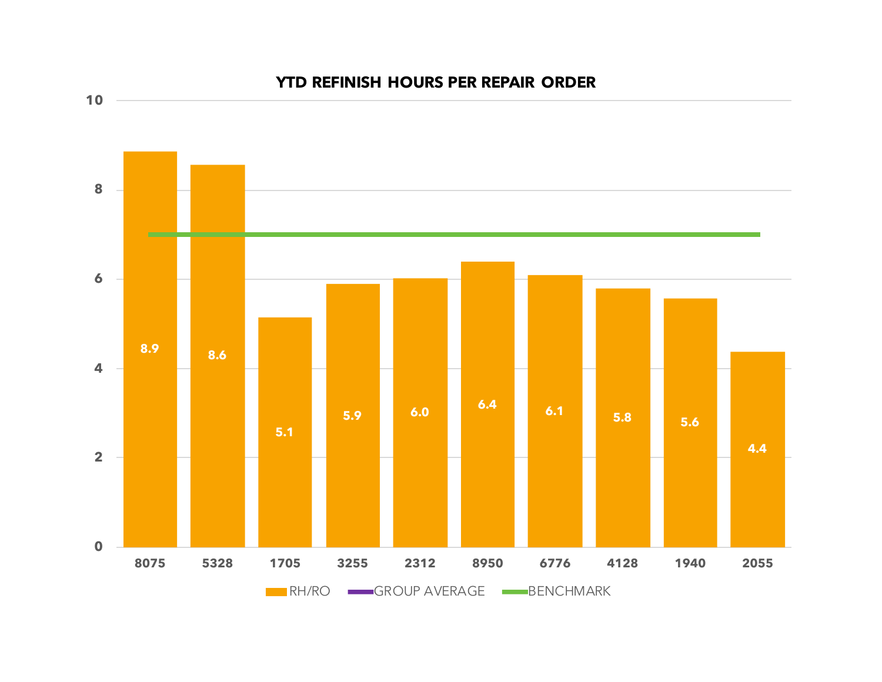

#### **YTD REFINISH HOURS PER REPAIR ORDER**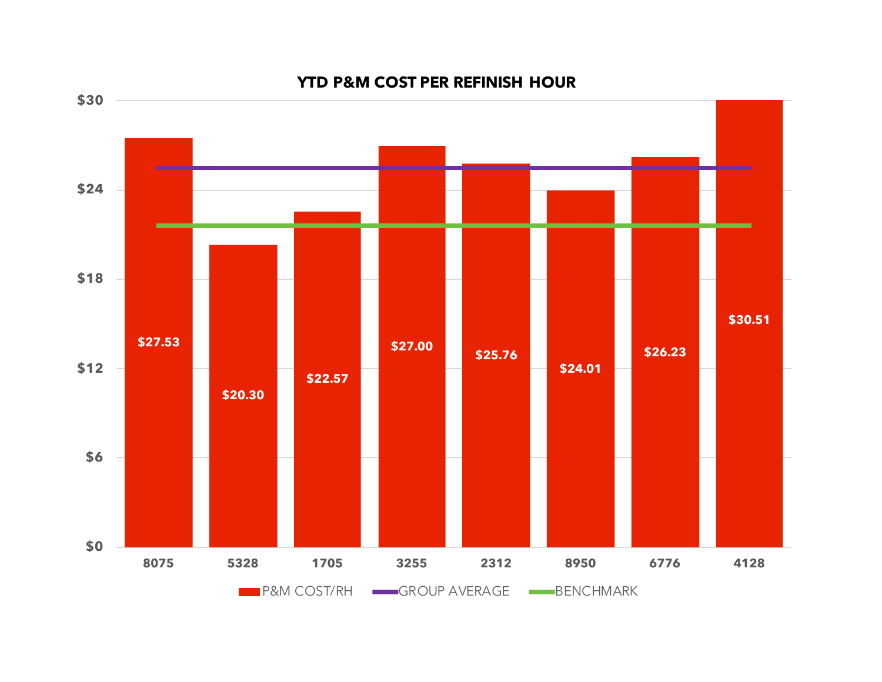

#### **YTD P&M COST PER REFINISH HOUR**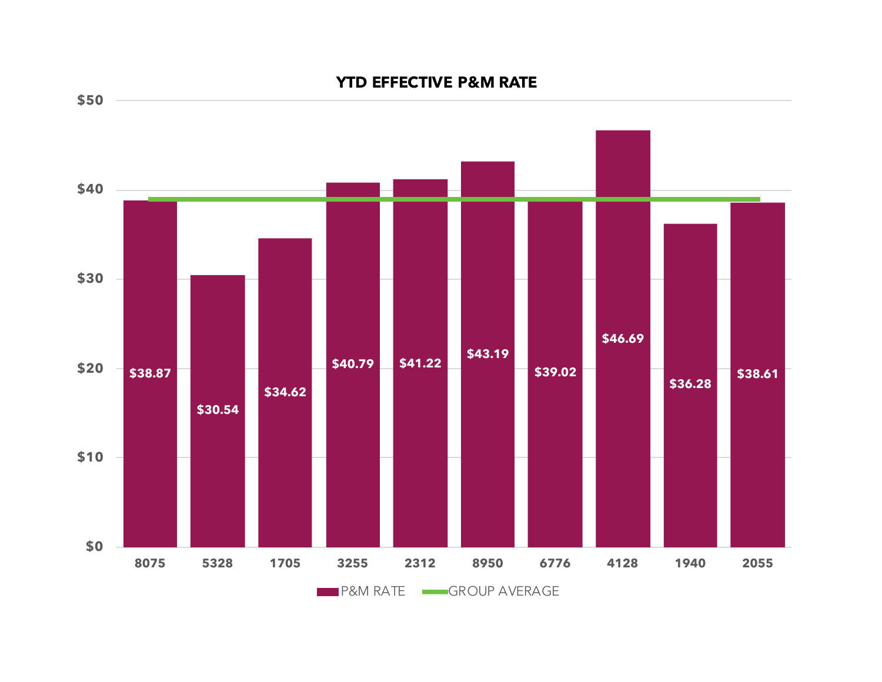# **\$38.87 \$30.54 \$34.62 \$40.79 \$41.22 \$43.19 \$39.02 \$46.69 \$36.28 \$38.61 \$0 \$10 \$20 \$30 \$40 \$50 8075 5328 1705 3255 2312 8950 6776 4128 1940 2055 YTD EFFECTIVE P&M RATE**

**P&M RATE** GROUP AVERAGE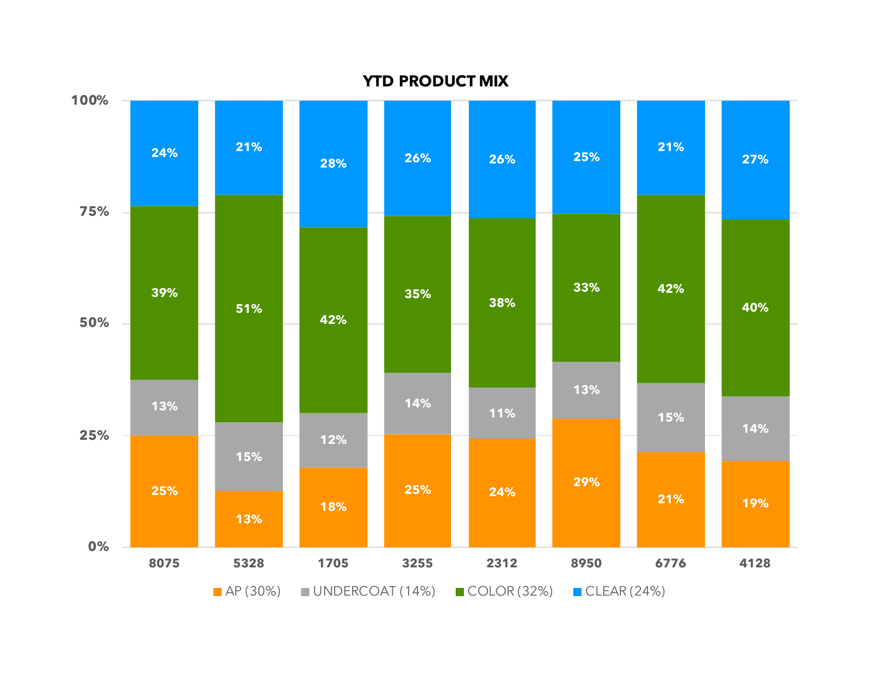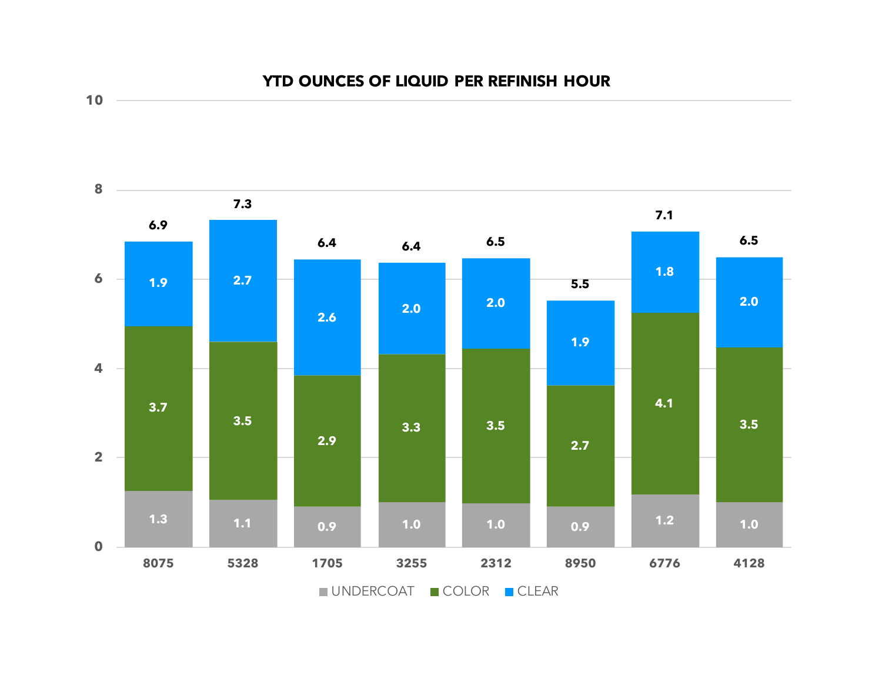



**10**